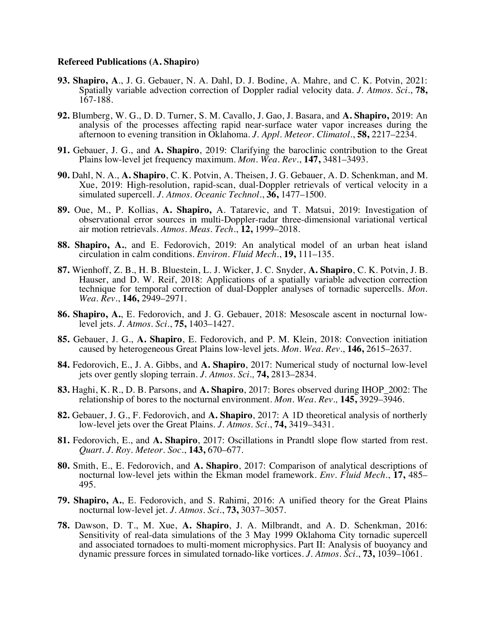## **Refereed Publications (A. Shapiro)**

- **93. Shapiro, A**., J. G. Gebauer, N. A. Dahl, D. J. Bodine, A. Mahre, and C. K. Potvin, 2021: Spatially variable advection correction of Doppler radial velocity data. *J. Atmos. Sci.*, **78,** 167-188.
- **92.** Blumberg, W. G., D. D. Turner, S. M. Cavallo, J. Gao, J. Basara, and **A. Shapiro,** 2019: An analysis of the processes affecting rapid near-surface water vapor increases during the afternoon to evening transition in Oklahoma. *J. Appl. Meteor. Climatol.*, **58,** 2217–2234.
- **91.** Gebauer, J. G., and **A. Shapiro**, 2019: Clarifying the baroclinic contribution to the Great Plains low-level jet frequency maximum. *Mon. Wea. Rev.*, **147,** 3481–3493.
- **90.** Dahl, N. A., **A. Shapiro**, C. K. Potvin, A. Theisen, J. G. Gebauer, A. D. Schenkman, and M. Xue, 2019: High-resolution, rapid-scan, dual-Doppler retrievals of vertical velocity in a simulated supercell. *J. Atmos. Oceanic Technol.*, **36,** 1477–1500.
- **89.** Oue, M., P. Kollias, **A. Shapiro,** A. Tatarevic, and T. Matsui, 2019: Investigation of observational error sources in multi-Doppler-radar three-dimensional variational vertical air motion retrievals. *Atmos. Meas. Tech.*, **12,** 1999–2018.
- **88. Shapiro, A.**, and E. Fedorovich, 2019: An analytical model of an urban heat island circulation in calm conditions. *Environ. Fluid Mech.*, **19,** 111–135.
- **87.** Wienhoff, Z. B., H. B. Bluestein, L. J. Wicker, J. C. Snyder, **A. Shapiro**, C. K. Potvin, J. B. Hauser, and D. W. Reif, 2018: Applications of a spatially variable advection correction technique for temporal correction of dual-Doppler analyses of tornadic supercells. *Mon. Wea. Rev.*, **146,** 2949–2971.
- **86. Shapiro, A.**, E. Fedorovich, and J. G. Gebauer, 2018: Mesoscale ascent in nocturnal lowlevel jets. *J. Atmos. Sci.*, **75,** 1403–1427.
- **85.** Gebauer, J. G., **A. Shapiro**, E. Fedorovich, and P. M. Klein, 2018: Convection initiation caused by heterogeneous Great Plains low-level jets. *Mon. Wea. Rev.*, **146,** 2615–2637.
- **84.** Fedorovich, E., J. A. Gibbs, and **A. Shapiro**, 2017: Numerical study of nocturnal low-level jets over gently sloping terrain. *J. Atmos. Sci.,* **74,** 2813–2834.
- **83.** Haghi, K. R., D. B. Parsons, and **A. Shapiro**, 2017: Bores observed during IHOP\_2002: The relationship of bores to the nocturnal environment. *Mon. Wea. Rev.,* **145,** 3929–3946.
- **82.** Gebauer, J. G., F. Fedorovich, and **A. Shapiro**, 2017: A 1D theoretical analysis of northerly low-level jets over the Great Plains. *J. Atmos. Sci.*, **74,** 3419–3431.
- **81.** Fedorovich, E., and **A. Shapiro**, 2017: Oscillations in Prandtl slope flow started from rest. *Quart. J. Roy. Meteor. Soc.*, **143,** 670–677.
- **80.** Smith, E., E. Fedorovich, and **A. Shapiro**, 2017: Comparison of analytical descriptions of nocturnal low-level jets within the Ekman model framework. *Env. Fluid Mech.*, **17,** 485– 495.
- **79. Shapiro, A.**, E. Fedorovich, and S. Rahimi, 2016: A unified theory for the Great Plains nocturnal low-level jet. *J. Atmos. Sci.*, **73,** 3037–3057.
- **78.** Dawson, D. T., M. Xue, **A. Shapiro**, J. A. Milbrandt, and A. D. Schenkman, 2016: Sensitivity of real-data simulations of the 3 May 1999 Oklahoma City tornadic supercell and associated tornadoes to multi-moment microphysics. Part II: Analysis of buoyancy and dynamic pressure forces in simulated tornado-like vortices. *J. Atmos. Sci.*, **73,** 1039–1061.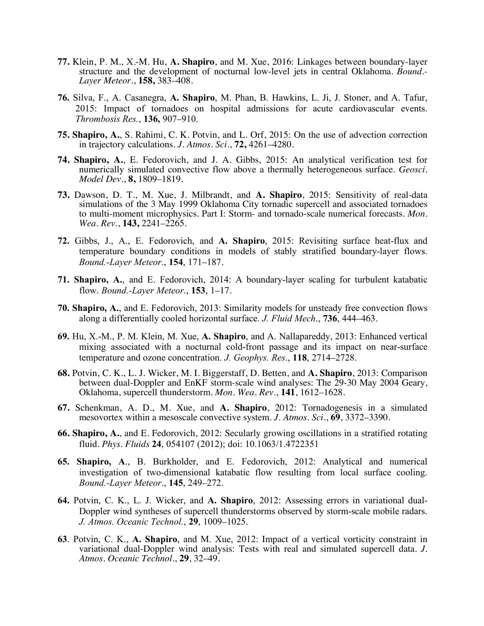- **77.** Klein, P. M., X.-M. Hu, **A. Shapiro**, and M. Xue, 2016: Linkages between boundary-layer structure and the development of nocturnal low-level jets in central Oklahoma. *Bound.- Layer Meteor.*, **158,** 383–408.
- **76.** Silva, F., A. Casanegra, **A. Shapiro**, M. Phan, B. Hawkins, L. Ji, J. Stoner, and A. Tafur, 2015: Impact of tornadoes on hospital admissions for acute cardiovascular events. *Thrombosis Res.*, **136,** 907–910.
- **75. Shapiro, A.**, S. Rahimi, C. K. Potvin, and L. Orf, 2015: On the use of advection correction in trajectory calculations. *J. Atmos. Sci.*, **72,** 4261–4280.
- **74. Shapiro, A.**, E. Fedorovich, and J. A. Gibbs, 2015: An analytical verification test for numerically simulated convective flow above a thermally heterogeneous surface. *Geosci. Model Dev.*, **8,** 1809–1819.
- **73.** Dawson, D. T., M. Xue, J. Milbrandt, and **A. Shapiro**, 2015: Sensitivity of real-data simulations of the 3 May 1999 Oklahoma City tornadic supercell and associated tornadoes to multi-moment microphysics. Part I: Storm- and tornado-scale numerical forecasts. *Mon. Wea. Rev.*, **143,** 2241–2265.
- **72.** Gibbs, J., A., E. Fedorovich, and **A. Shapiro**, 2015: Revisiting surface heat-flux and temperature boundary conditions in models of stably stratified boundary-layer flows. *Bound.-Layer Meteor*., **154**, 171–187.
- **71. Shapiro, A.**, and E. Fedorovich, 2014: A boundary-layer scaling for turbulent katabatic flow. *Bound.-Layer Meteor*., **153**, 1–17.
- **70. Shapiro, A.**, and E. Fedorovich, 2013: Similarity models for unsteady free convection flows along a differentially cooled horizontal surface. *J. Fluid Mech*., **736**, 444–463.
- **69.** Hu, X.-M., P. M. Klein, M. Xue, **A. Shapiro**, and A. Nallapareddy, 2013: Enhanced vertical mixing associated with a nocturnal cold-front passage and its impact on near-surface temperature and ozone concentration. *J. Geophys. Res*., **118**, 2714–2728.
- **68.** Potvin, C. K., L. J. Wicker, M. I. Biggerstaff, D. Betten, and **A. Shapiro**, 2013: Comparison between dual-Doppler and EnKF storm-scale wind analyses: The 29-30 May 2004 Geary, Oklahoma, supercell thunderstorm. *Mon. Wea. Rev.*, **141**, 1612–1628.
- **67.** Schenkman, A. D., M. Xue, and **A. Shapiro**, 2012: Tornadogenesis in a simulated mesovortex within a mesoscale convective system. *J. Atmos. Sci.*, **69**, 3372–3390.
- **66. Shapiro, A.**, and E. Fedorovich, 2012: Secularly growing oscillations in a stratified rotating fluid. *Phys. Fluids* **24**, 054107 (2012); doi: 10.1063/1.4722351
- **65. Shapiro, A**., B. Burkholder, and E. Fedorovich, 2012: Analytical and numerical investigation of two-dimensional katabatic flow resulting from local surface cooling. *Bound.-Layer Meteor*., **145**, 249–272.
- **64.** Potvin, C. K., L. J. Wicker, and **A. Shapiro**, 2012: Assessing errors in variational dual-Doppler wind syntheses of supercell thunderstorms observed by storm-scale mobile radars. *J. Atmos. Oceanic Technol.*, **29**, 1009–1025.
- **63**. Potvin, C. K., **A. Shapiro**, and M. Xue, 2012: Impact of a vertical vorticity constraint in variational dual-Doppler wind analysis: Tests with real and simulated supercell data. *J. Atmos. Oceanic Technol*., **29**, 32–49.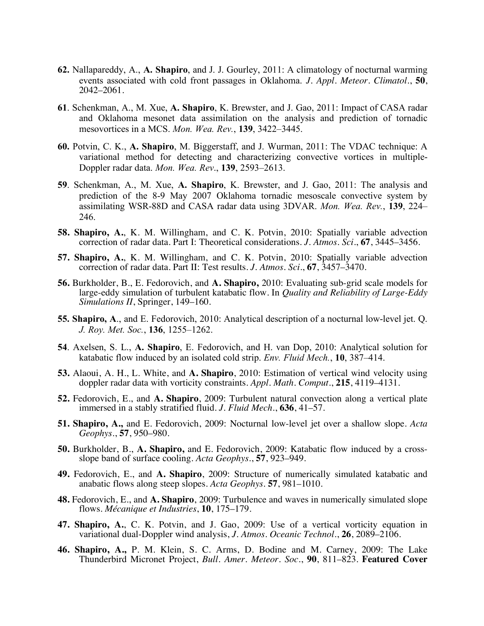- **62.** Nallapareddy, A., **A. Shapiro**, and J. J. Gourley, 2011: A climatology of nocturnal warming events associated with cold front passages in Oklahoma. *J. Appl. Meteor. Climatol.*, **50**, 2042–2061.
- **61**. Schenkman, A., M. Xue, **A. Shapiro**, K. Brewster, and J. Gao, 2011: Impact of CASA radar and Oklahoma mesonet data assimilation on the analysis and prediction of tornadic mesovortices in a MCS. *Mon. Wea. Rev.*, **139**, 3422–3445.
- **60.** Potvin, C. K., **A. Shapiro**, M. Biggerstaff, and J. Wurman, 2011: The VDAC technique: A variational method for detecting and characterizing convective vortices in multiple-Doppler radar data. *Mon. Wea. Rev*., **139**, 2593–2613.
- **59**. Schenkman, A., M. Xue, **A. Shapiro**, K. Brewster, and J. Gao, 2011: The analysis and prediction of the 8-9 May 2007 Oklahoma tornadic mesoscale convective system by assimilating WSR-88D and CASA radar data using 3DVAR. *Mon. Wea. Rev.*, **139**, 224– 246.
- **58. Shapiro, A.**, K. M. Willingham, and C. K. Potvin, 2010: Spatially variable advection correction of radar data. Part I: Theoretical considerations. *J. Atmos. Sci*., **67**, 3445–3456.
- **57. Shapiro, A.**, K. M. Willingham, and C. K. Potvin, 2010: Spatially variable advection correction of radar data. Part II: Test results. *J. Atmos. Sci*., **67**, 3457–3470.
- **56.** Burkholder, B., E. Fedorovich, and **A. Shapiro,** 2010: Evaluating sub-grid scale models for large-eddy simulation of turbulent katabatic flow. In *Quality and Reliability of Large-Eddy Simulations II*, Springer, 149–160.
- **55. Shapiro, A**., and E. Fedorovich, 2010: Analytical description of a nocturnal low-level jet. Q. *J. Roy. Met. Soc.*, **136**, 1255–1262.
- **54**. Axelsen, S. L., **A. Shapiro**, E. Fedorovich, and H. van Dop, 2010: Analytical solution for katabatic flow induced by an isolated cold strip. *Env. Fluid Mech.*, **10**, 387–414.
- **53.** Alaoui, A. H., L. White, and **A. Shapiro**, 2010: Estimation of vertical wind velocity using doppler radar data with vorticity constraints. *Appl. Math. Comput.*, **215**, 4119–4131.
- **52.** Fedorovich, E., and **A. Shapiro**, 2009: Turbulent natural convection along a vertical plate immersed in a stably stratified fluid. *J. Fluid Mech.*, **636**, 41–57.
- **51. Shapiro, A.,** and E. Fedorovich, 2009: Nocturnal low-level jet over a shallow slope. *Acta Geophys.*, **57**, 950–980.
- **50.** Burkholder, B., **A. Shapiro,** and E. Fedorovich, 2009: Katabatic flow induced by a crossslope band of surface cooling. *Acta Geophys.*, **57**, 923–949.
- **49.** Fedorovich, E., and **A. Shapiro**, 2009: Structure of numerically simulated katabatic and anabatic flows along steep slopes. *Acta Geophys.* **57**, 981–1010.
- **48.** Fedorovich, E., and **A. Shapiro**, 2009: Turbulence and waves in numerically simulated slope flows. *Mécanique et Industries*, **10**, 175–179.
- **47. Shapiro, A.**, C. K. Potvin, and J. Gao, 2009: Use of a vertical vorticity equation in variational dual-Doppler wind analysis, *J. Atmos. Oceanic Technol.*, **26**, 2089–2106.
- **46. Shapiro, A.,** P. M. Klein, S. C. Arms, D. Bodine and M. Carney, 2009: The Lake Thunderbird Micronet Project, *Bull. Amer. Meteor. Soc.*, **90**, 811–823. **Featured Cover**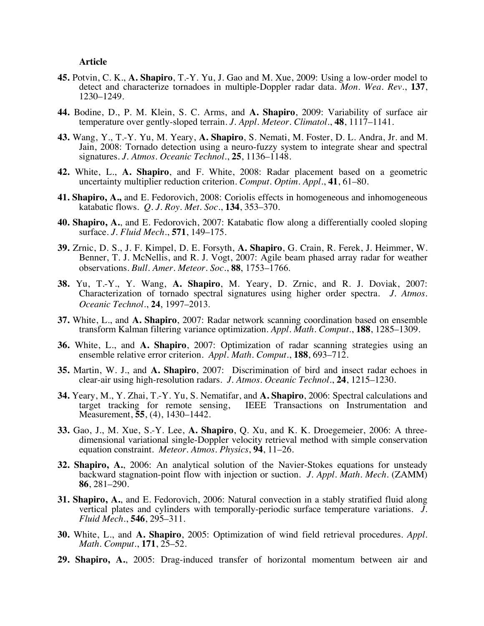## **Article**

- **45.** Potvin, C. K., **A. Shapiro**, T.-Y. Yu, J. Gao and M. Xue, 2009: Using a low-order model to detect and characterize tornadoes in multiple-Doppler radar data. *Mon. Wea. Rev.*, **137**, 1230–1249.
- **44.** Bodine, D., P. M. Klein, S. C. Arms, and **A. Shapiro**, 2009: Variability of surface air temperature over gently-sloped terrain. *J. Appl. Meteor. Climatol.*, **48**, 1117–1141.
- **43.** Wang, Y., T.-Y. Yu, M. Yeary, **A. Shapiro**, S. Nemati, M. Foster, D. L. Andra, Jr. and M. Jain, 2008: Tornado detection using a neuro-fuzzy system to integrate shear and spectral signatures. *J. Atmos. Oceanic Technol.*, **25**, 1136–1148.
- **42.** White, L., **A. Shapiro**, and F. White, 2008: Radar placement based on a geometric uncertainty multiplier reduction criterion. *Comput. Optim. Appl.*, **41**, 61–80.
- **41. Shapiro, A.,** and E. Fedorovich, 2008: Coriolis effects in homogeneous and inhomogeneous katabatic flows. *Q. J. Roy. Met. Soc.*, **134**, 353–370.
- **40. Shapiro, A.**, and E. Fedorovich, 2007: Katabatic flow along a differentially cooled sloping surface. *J. Fluid Mech.*, **571**, 149–175.
- **39.** Zrnic, D. S., J. F. Kimpel, D. E. Forsyth, **A. Shapiro**, G. Crain, R. Ferek, J. Heimmer, W. Benner, T. J. McNellis, and R. J. Vogt, 2007: Agile beam phased array radar for weather observations. *Bull. Amer. Meteor. Soc.*, **88**, 1753–1766.
- **38.** Yu, T.-Y., Y. Wang, **A. Shapiro**, M. Yeary, D. Zrnic, and R. J. Doviak, 2007: Characterization of tornado spectral signatures using higher order spectra. *J. Atmos. Oceanic Technol.*, **24**, 1997–2013.
- **37.** White, L., and **A. Shapiro**, 2007: Radar network scanning coordination based on ensemble transform Kalman filtering variance optimization. *Appl. Math. Comput.*, **188**, 1285–1309.
- **36.** White, L., and **A. Shapiro**, 2007: Optimization of radar scanning strategies using an ensemble relative error criterion. *Appl. Math. Comput.*, **188**, 693–712.
- **35.** Martin, W. J., and **A. Shapiro**, 2007: Discrimination of bird and insect radar echoes in clear-air using high-resolution radars. *J. Atmos. Oceanic Technol.*, **24**, 1215–1230.
- **34.** Yeary, M., Y. Zhai, T.-Y. Yu, S. Nematifar, and **A. Shapiro**, 2006: Spectral calculations and IEEE Transactions on Instrumentation and Measurement, **55**, (4), 1430–1442.
- **33.** Gao, J., M. Xue, S.-Y. Lee, **A. Shapiro**, Q. Xu, and K. K. Droegemeier, 2006: A three- dimensional variational single-Doppler velocity retrieval method with simple conservation equation constraint. *Meteor. Atmos. Physics*, **94**, 11–26.
- **32. Shapiro, A.**, 2006: An analytical solution of the Navier-Stokes equations for unsteady backward stagnation-point flow with injection or suction. *J. Appl. Math. Mech.* (ZAMM) **86**, 281–290.
- **31. Shapiro, A.**, and E. Fedorovich, 2006: Natural convection in a stably stratified fluid along vertical plates and cylinders with temporally-periodic surface temperature variations. *J. Fluid Mech.*, **546**, 295–311.
- **30.** White, L., and **A. Shapiro**, 2005: Optimization of wind field retrieval procedures. *Appl. Math. Comput.*, **171**, 25–52.
- **29. Shapiro, A.**, 2005: Drag-induced transfer of horizontal momentum between air and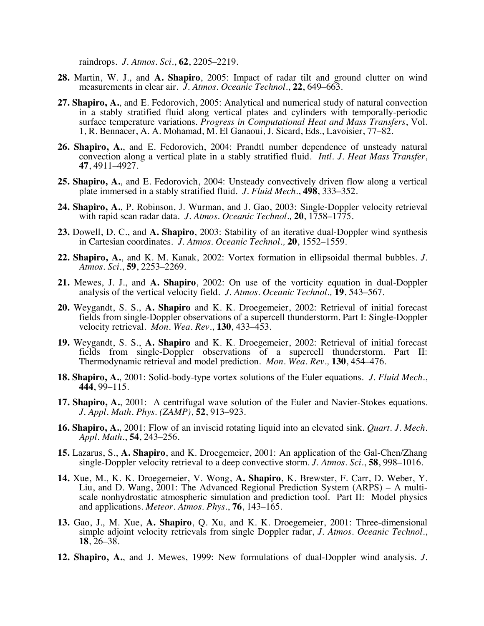raindrops. *J. Atmos. Sci.*, **62**, 2205–2219.

- **28.** Martin, W. J., and **A. Shapiro**, 2005: Impact of radar tilt and ground clutter on wind measurements in clear air. *J. Atmos. Oceanic Technol.*, **22**, 649–663.
- **27. Shapiro, A.**, and E. Fedorovich, 2005: Analytical and numerical study of natural convection in a stably stratified fluid along vertical plates and cylinders with temporally-periodic surface temperature variations. *Progress in Computational Heat and Mass Transfers*, Vol. 1, R. Bennacer, A. A. Mohamad, M. El Ganaoui, J. Sicard, Eds., Lavoisier, 77–82.
- **26. Shapiro, A.**, and E. Fedorovich, 2004: Prandtl number dependence of unsteady natural convection along a vertical plate in a stably stratified fluid. *Intl. J. Heat Mass Transfer*, **47**, 4911–4927.
- **25. Shapiro, A.**, and E. Fedorovich, 2004: Unsteady convectively driven flow along a vertical plate immersed in a stably stratified fluid. *J. Fluid Mech.*, **498**, 333–352.
- **24. Shapiro, A.**, P. Robinson, J. Wurman, and J. Gao, 2003: Single-Doppler velocity retrieval with rapid scan radar data. *J. Atmos. Oceanic Technol.,* **20**, 1758–1775.
- **23.** Dowell, D. C., and **A. Shapiro**, 2003: Stability of an iterative dual-Doppler wind synthesis in Cartesian coordinates. *J. Atmos. Oceanic Technol.,* **20**, 1552–1559.
- **22. Shapiro, A.**, and K. M. Kanak, 2002: Vortex formation in ellipsoidal thermal bubbles. *J. Atmos. Sci.*, **59**, 2253–2269.
- **21.** Mewes, J. J., and **A. Shapiro**, 2002: On use of the vorticity equation in dual-Doppler analysis of the vertical velocity field. *J. Atmos. Oceanic Technol.,* **19**, 543–567.
- **20.** Weygandt, S. S., **A. Shapiro** and K. K. Droegemeier, 2002: Retrieval of initial forecast fields from single-Doppler observations of a supercell thunderstorm. Part I: Single-Doppler velocity retrieval. *Mon. Wea. Rev.*, **130**, 433–453.
- **19.** Weygandt, S. S., **A. Shapiro** and K. K. Droegemeier, 2002: Retrieval of initial forecast fields from single-Doppler observations of a supercell thunderstorm. Part II: Thermodynamic retrieval and model prediction. *Mon. Wea. Rev.,* **130**, 454–476.
- **18. Shapiro, A.**, 2001: Solid-body-type vortex solutions of the Euler equations. *J. Fluid Mech.*, **444**, 99–115.
- **17. Shapiro, A.**, 2001: A centrifugal wave solution of the Euler and Navier-Stokes equations. *J. Appl. Math. Phys. (ZAMP)*, **52**, 913–923.
- **16. Shapiro, A.**, 2001: Flow of an inviscid rotating liquid into an elevated sink. *Quart. J. Mech. Appl. Math.*, **54**, 243–256.
- **15.** Lazarus, S., **A. Shapiro**, and K. Droegemeier, 2001: An application of the Gal-Chen/Zhang single-Doppler velocity retrieval to a deep convective storm. *J. Atmos. Sci.*, **58**, 998–1016.
- **14.** Xue, M., K. K. Droegemeier, V. Wong, **A. Shapiro**, K. Brewster, F. Carr, D. Weber, Y. scale nonhydrostatic atmospheric simulation and prediction tool. Part II: Model physics and applications. *Meteor. Atmos. Phys.*, **76**, 143–165.
- **13.** Gao, J., M. Xue, **A. Shapiro**, Q. Xu, and K. K. Droegemeier, 2001: Three-dimensional simple adjoint velocity retrievals from single Doppler radar, *J. Atmos. Oceanic Technol.*, **18**, 26–38.
- **12. Shapiro, A.**, and J. Mewes, 1999: New formulations of dual-Doppler wind analysis. *J.*